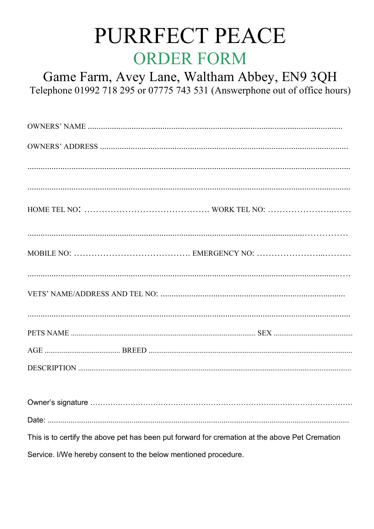## PURRFECT PEACE **ORDER FORM**

Game Farm, Avey Lane, Waltham Abbey, EN9 3QH Telephone 01992 718 295 or 07775 743 531 (Answerphone out of office hours)

This is to certify the above pet has been put forward for cremation at the above Pet Cremation

Service. I/We hereby consent to the below mentioned procedure.